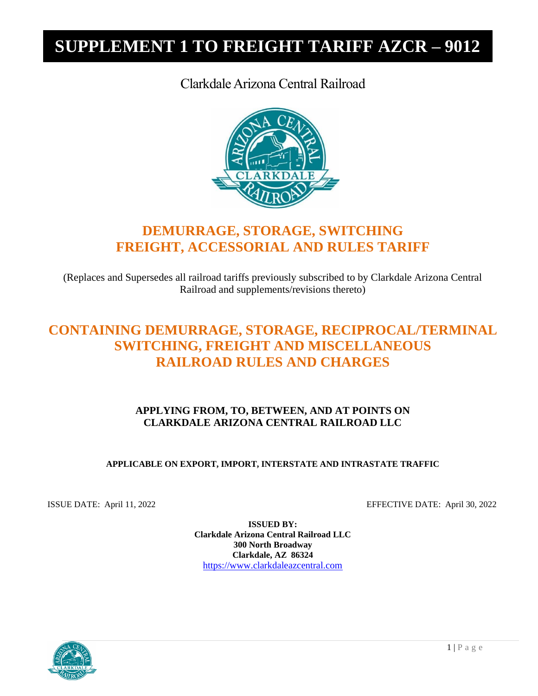### Clarkdale Arizona Central Railroad



### **DEMURRAGE, STORAGE, SWITCHING FREIGHT, ACCESSORIAL AND RULES TARIFF**

(Replaces and Supersedes all railroad tariffs previously subscribed to by Clarkdale Arizona Central Railroad and supplements/revisions thereto)

### **CONTAINING DEMURRAGE, STORAGE, RECIPROCAL/TERMINAL SWITCHING, FREIGHT AND MISCELLANEOUS RAILROAD RULES AND CHARGES**

### **APPLYING FROM, TO, BETWEEN, AND AT POINTS ON CLARKDALE ARIZONA CENTRAL RAILROAD LLC**

#### **APPLICABLE ON EXPORT, IMPORT, INTERSTATE AND INTRASTATE TRAFFIC**

ISSUE DATE: April 11, 2022 EFFECTIVE DATE: April 30, 2022

**ISSUED BY: Clarkdale Arizona Central Railroad LLC 300 North Broadway Clarkdale, AZ 86324** [https://www.clarkdaleazcentral.com](https://www.clarkdaleazcentral.com/)

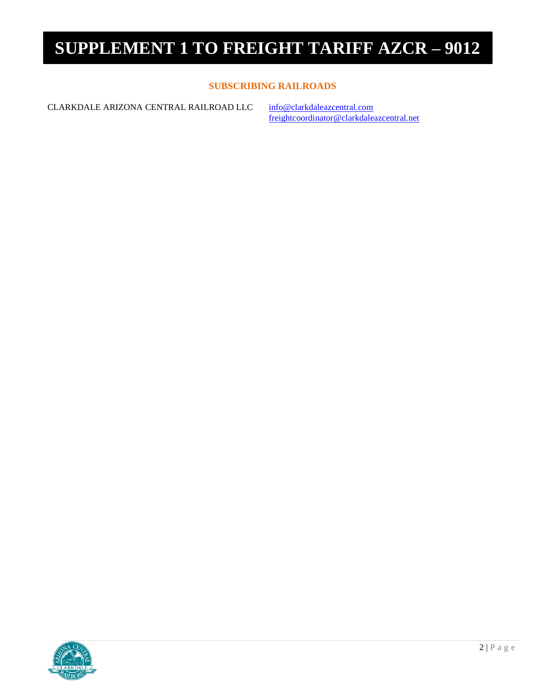#### **SUBSCRIBING RAILROADS**

CLARKDALE ARIZONA CENTRAL RAILROAD LLC [info@clarkdaleazcentral.com](mailto:info@clarkdaleazcentral.com)

[freightcoordinator@clarkdaleazcentral.net](mailto:freightcoordinator@clarkdaleazcentral.net)

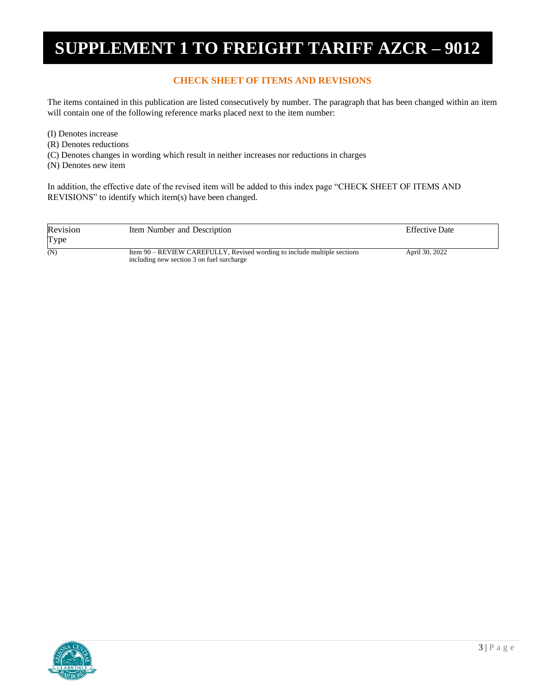#### **CHECK SHEET OF ITEMS AND REVISIONS**

The items contained in this publication are listed consecutively by number. The paragraph that has been changed within an item will contain one of the following reference marks placed next to the item number:

- (I) Denotes increase
- (R) Denotes reductions
- (C) Denotes changes in wording which result in neither increases nor reductions in charges
- (N) Denotes new item

In addition, the effective date of the revised item will be added to this index page "CHECK SHEET OF ITEMS AND REVISIONS" to identify which item(s) have been changed.

| Revision<br>Type | Item Number and Description                                                                                           | <b>Effective Date</b> |  |
|------------------|-----------------------------------------------------------------------------------------------------------------------|-----------------------|--|
| (N)              | Item 90 – REVIEW CAREFULLY, Revised wording to include multiple sections<br>including new section 3 on fuel surcharge | April 30, 2022        |  |